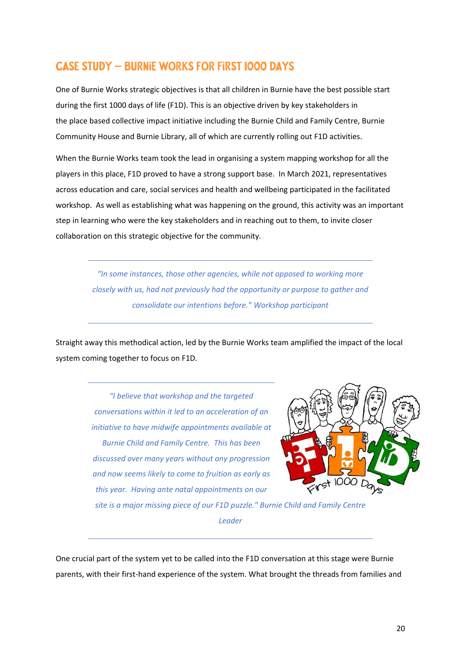### **Case Study – burnie works FOR first 1000 days**

One of Burnie Works strategic objectives is that all children in Burnie have the best possible start during the first 1000 days of life (F1D). This is an objective driven by key stakeholders in the place based collective impact initiative including the Burnie Child and Family Centre, Burnie Community House and Burnie Library, all of which are currently rolling out F1D activities.

When the Burnie Works team took the lead in organising a system mapping workshop for all the players in this place, F1D proved to have a strong support base. In March 2021, representatives across education and care, social services and health and wellbeing participated in the facilitated workshop. As well as establishing what was happening on the ground, this activity was an important step in learning who were the key stakeholders and in reaching out to them, to invite closer collaboration on this strategic objective for the community.

> *"In some instances, those other agencies, while not opposed to working more closely with us, had not previously had the opportunity or purpose to gather and consolidate our intentions before." Workshop participant*

Straight away this methodical action, led by the Burnie Works team amplified the impact of the local system coming together to focus on F1D.

> *"I believe that workshop and the targeted conversations within it led to an acceleration of an initiative to have midwife appointments available at Burnie Child and Family Centre. This has been discussed over many years without any progression and now seems likely to come to fruition as early as this year. Having ante natal appointments on our*



*site is a major missing piece of our F1D puzzle." Burnie Child and Family Centre Leader*

One crucial part of the system yet to be called into the F1D conversation at this stage were Burnie parents, with their first-hand experience of the system. What brought the threads from families and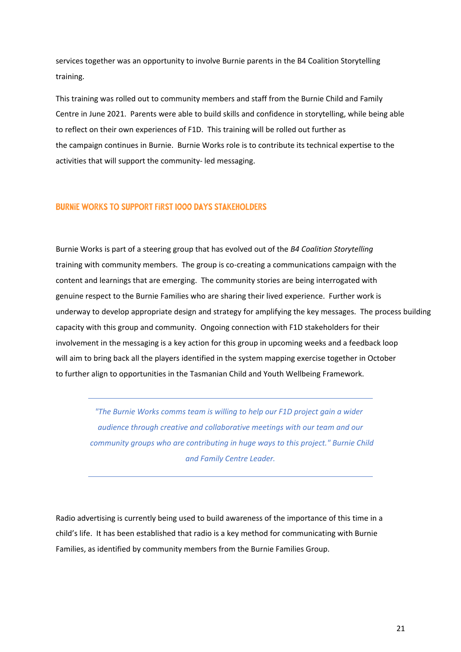services together was an opportunity to involve Burnie parents in the B4 Coalition Storytelling training.

This training was rolled out to community members and staff from the Burnie Child and Family Centre in June 2021. Parents were able to build skills and confidence in storytelling, while being able to reflect on their own experiences of F1D. This training will be rolled out further as the campaign continues in Burnie. Burnie Works role is to contribute its technical expertise to the activities that will support the community- led messaging.

#### **Burnie Works to support First 1000 Days Stakeholders**

Burnie Works is part of a steering group that has evolved out of the *B4 Coalition Storytelling* training with community members. The group is co-creating a communications campaign with the content and learnings that are emerging. The community stories are being interrogated with genuine respect to the Burnie Families who are sharing their lived experience. Further work is underway to develop appropriate design and strategy for amplifying the key messages. The process building capacity with this group and community. Ongoing connection with F1D stakeholders for their involvement in the messaging is a key action for this group in upcoming weeks and a feedback loop will aim to bring back all the players identified in the system mapping exercise together in October to further align to opportunities in the Tasmanian Child and Youth Wellbeing Framework.

*"The Burnie Works comms team is willing to help our F1D project gain a wider audience through creative and collaborative meetings with our team and our community groups who are contributing in huge ways to this project." Burnie Child and Family Centre Leader.* 

Radio advertising is currently being used to build awareness of the importance of this time in a child's life. It has been established that radio is a key method for communicating with Burnie Families, as identified by community members from the Burnie Families Group.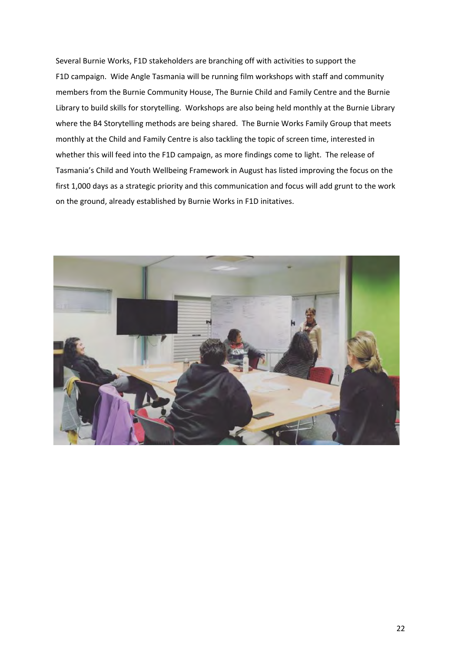Several Burnie Works, F1D stakeholders are branching off with activities to support the F1D campaign. Wide Angle Tasmania will be running film workshops with staff and community members from the Burnie Community House, The Burnie Child and Family Centre and the Burnie Library to build skills for storytelling. Workshops are also being held monthly at the Burnie Library where the B4 Storytelling methods are being shared. The Burnie Works Family Group that meets monthly at the Child and Family Centre is also tackling the topic of screen time, interested in whether this will feed into the F1D campaign, as more findings come to light. The release of Tasmania's Child and Youth Wellbeing Framework in August has listed improving the focus on the first 1,000 days as a strategic priority and this communication and focus will add grunt to the work on the ground, already established by Burnie Works in F1D initatives.

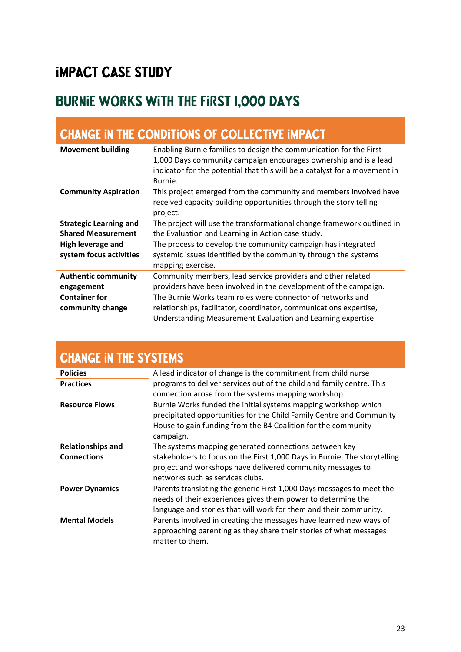## **Impact Case Study**

# **BURNIE WORKS WITH THE First 1,000 Days**

| <b>CHANGE IN THE CONDITIONS OF COLLECTIVE IMPACT</b>       |                                                                                                                                                                                                                                 |  |
|------------------------------------------------------------|---------------------------------------------------------------------------------------------------------------------------------------------------------------------------------------------------------------------------------|--|
| <b>Movement building</b>                                   | Enabling Burnie families to design the communication for the First<br>1,000 Days community campaign encourages ownership and is a lead<br>indicator for the potential that this will be a catalyst for a movement in<br>Burnie. |  |
| <b>Community Aspiration</b>                                | This project emerged from the community and members involved have<br>received capacity building opportunities through the story telling<br>project.                                                                             |  |
| <b>Strategic Learning and</b><br><b>Shared Measurement</b> | The project will use the transformational change framework outlined in<br>the Evaluation and Learning in Action case study.                                                                                                     |  |
| High leverage and<br>system focus activities               | The process to develop the community campaign has integrated<br>systemic issues identified by the community through the systems<br>mapping exercise.                                                                            |  |
| <b>Authentic community</b><br>engagement                   | Community members, lead service providers and other related<br>providers have been involved in the development of the campaign.                                                                                                 |  |
| <b>Container for</b><br>community change                   | The Burnie Works team roles were connector of networks and<br>relationships, facilitator, coordinator, communications expertise,<br>Understanding Measurement Evaluation and Learning expertise.                                |  |

| <b>CHANGE IN THE SYSTEMS</b> |                                                                                                                                                             |
|------------------------------|-------------------------------------------------------------------------------------------------------------------------------------------------------------|
| <b>Policies</b>              | A lead indicator of change is the commitment from child nurse                                                                                               |
| <b>Practices</b>             | programs to deliver services out of the child and family centre. This                                                                                       |
|                              | connection arose from the systems mapping workshop                                                                                                          |
| <b>Resource Flows</b>        | Burnie Works funded the initial systems mapping workshop which                                                                                              |
|                              | precipitated opportunities for the Child Family Centre and Community                                                                                        |
|                              | House to gain funding from the B4 Coalition for the community                                                                                               |
|                              | campaign.                                                                                                                                                   |
| <b>Relationships and</b>     | The systems mapping generated connections between key                                                                                                       |
| <b>Connections</b>           | stakeholders to focus on the First 1,000 Days in Burnie. The storytelling                                                                                   |
|                              | project and workshops have delivered community messages to                                                                                                  |
|                              | networks such as services clubs.                                                                                                                            |
| <b>Power Dynamics</b>        | Parents translating the generic First 1,000 Days messages to meet the                                                                                       |
|                              | needs of their experiences gives them power to determine the                                                                                                |
|                              | language and stories that will work for them and their community.                                                                                           |
| <b>Mental Models</b>         | Parents involved in creating the messages have learned new ways of<br>approaching parenting as they share their stories of what messages<br>matter to them. |